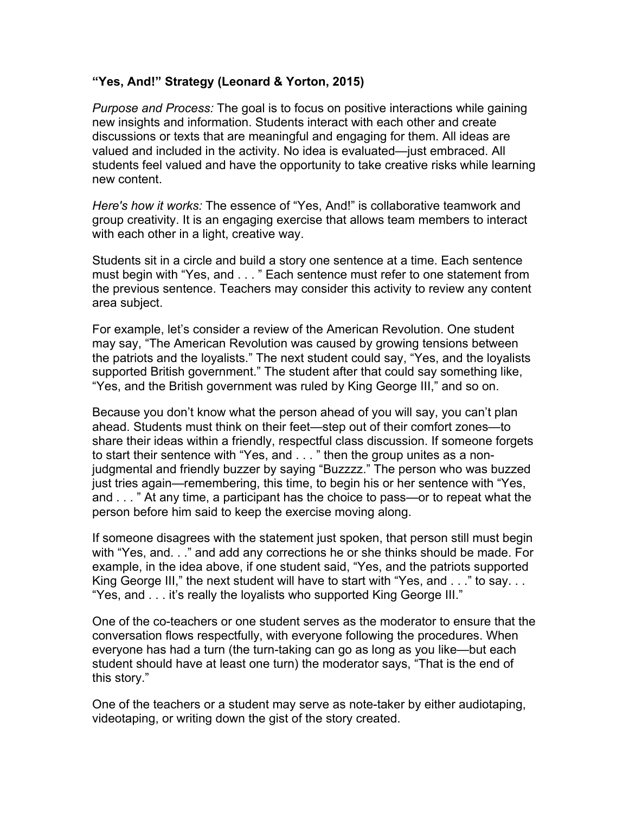## **"Yes, And!" Strategy (Leonard & Yorton, 2015)**

*Purpose and Process:* The goal is to focus on positive interactions while gaining new insights and information. Students interact with each other and create discussions or texts that are meaningful and engaging for them. All ideas are valued and included in the activity. No idea is evaluated—just embraced. All students feel valued and have the opportunity to take creative risks while learning new content.

*Here's how it works:* The essence of "Yes, And!" is collaborative teamwork and group creativity. It is an engaging exercise that allows team members to interact with each other in a light, creative way.

Students sit in a circle and build a story one sentence at a time. Each sentence must begin with "Yes, and . . . " Each sentence must refer to one statement from the previous sentence. Teachers may consider this activity to review any content area subject.

For example, let's consider a review of the American Revolution. One student may say, "The American Revolution was caused by growing tensions between the patriots and the loyalists." The next student could say, "Yes, and the loyalists supported British government." The student after that could say something like, "Yes, and the British government was ruled by King George III," and so on.

Because you don't know what the person ahead of you will say, you can't plan ahead. Students must think on their feet—step out of their comfort zones—to share their ideas within a friendly, respectful class discussion. If someone forgets to start their sentence with "Yes, and . . . " then the group unites as a nonjudgmental and friendly buzzer by saying "Buzzzz." The person who was buzzed just tries again—remembering, this time, to begin his or her sentence with "Yes, and . . . " At any time, a participant has the choice to pass—or to repeat what the person before him said to keep the exercise moving along.

If someone disagrees with the statement just spoken, that person still must begin with "Yes, and. . ." and add any corrections he or she thinks should be made. For example, in the idea above, if one student said, "Yes, and the patriots supported King George III," the next student will have to start with "Yes, and . . ." to say. . . "Yes, and . . . it's really the loyalists who supported King George III."

One of the co-teachers or one student serves as the moderator to ensure that the conversation flows respectfully, with everyone following the procedures. When everyone has had a turn (the turn-taking can go as long as you like—but each student should have at least one turn) the moderator says, "That is the end of this story."

One of the teachers or a student may serve as note-taker by either audiotaping, videotaping, or writing down the gist of the story created.